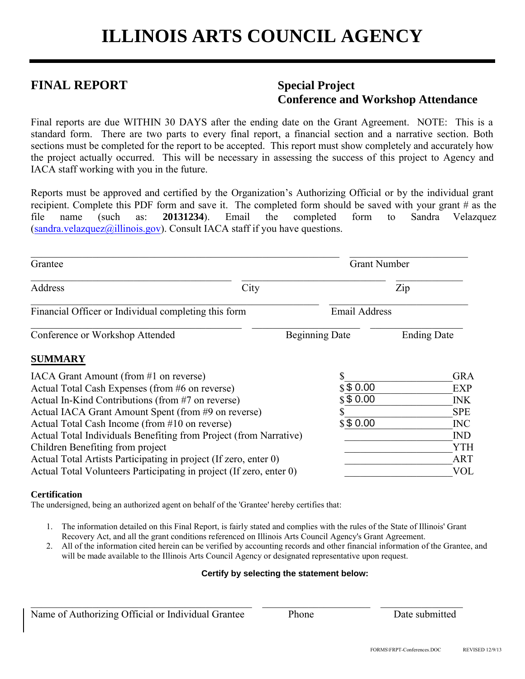# **FINAL REPORT Special Project**

# **Conference and Workshop Attendance**

Final reports are due WITHIN 30 DAYS after the ending date on the Grant Agreement. NOTE: This is a standard form. There are two parts to every final report, a financial section and a narrative section. Both sections must be completed for the report to be accepted. This report must show completely and accurately how the project actually occurred. This will be necessary in assessing the success of this project to Agency and IACA staff working with you in the future.

Reports must be approved and certified by the Organization's Authorizing Official or by the individual grant recipient. Complete this PDF form and save it. The completed form should be saved with your grant # as the file name (such as: **20131234**). Email the completed form to Sandra Velazquez  $(sandra.velazquez@illinois.gov)$  $(sandra.velazquez@illinois.gov)$  $(sandra.velazquez@illinois.gov)$ . Consult IACA staff if you have questions.

| Grantee                                                                                                                                                                                                                                                                                                                                                                                                                                                                                                     | <b>Grant Number</b>              |                                                                                                                     |  |  |  |
|-------------------------------------------------------------------------------------------------------------------------------------------------------------------------------------------------------------------------------------------------------------------------------------------------------------------------------------------------------------------------------------------------------------------------------------------------------------------------------------------------------------|----------------------------------|---------------------------------------------------------------------------------------------------------------------|--|--|--|
| City<br>Address                                                                                                                                                                                                                                                                                                                                                                                                                                                                                             |                                  | Zip                                                                                                                 |  |  |  |
| Financial Officer or Individual completing this form                                                                                                                                                                                                                                                                                                                                                                                                                                                        | <b>Email Address</b>             |                                                                                                                     |  |  |  |
| Conference or Workshop Attended                                                                                                                                                                                                                                                                                                                                                                                                                                                                             | <b>Beginning Date</b>            | <b>Ending Date</b>                                                                                                  |  |  |  |
| <b>SUMMARY</b>                                                                                                                                                                                                                                                                                                                                                                                                                                                                                              |                                  |                                                                                                                     |  |  |  |
| IACA Grant Amount (from #1 on reverse)<br>Actual Total Cash Expenses (from #6 on reverse)<br>Actual In-Kind Contributions (from #7 on reverse)<br>Actual IACA Grant Amount Spent (from #9 on reverse)<br>Actual Total Cash Income (from #10 on reverse)<br>Actual Total Individuals Benefiting from Project (from Narrative)<br>Children Benefiting from project<br>Actual Total Artists Participating in project (If zero, enter 0)<br>Actual Total Volunteers Participating in project (If zero, enter 0) | \$\$0.00<br>\$\$0.00<br>\$\$0.00 | <b>GRA</b><br><b>EXP</b><br><b>INK</b><br><b>SPE</b><br><b>INC</b><br><b>IND</b><br><b>YTH</b><br><b>ART</b><br>VOL |  |  |  |

#### **Certification**

The undersigned, being an authorized agent on behalf of the 'Grantee' hereby certifies that:

1. The information detailed on this Final Report, is fairly stated and complies with the rules of the State of Illinois' Grant Recovery Act, and all the grant conditions referenced on Illinois Arts Council Agency's Grant Agreement.

\_\_\_\_\_\_\_\_\_\_\_\_\_\_\_\_\_\_\_\_\_\_\_\_\_\_\_\_\_\_\_\_\_\_\_\_\_\_\_\_\_\_\_ \_\_\_\_\_\_\_\_\_\_\_\_\_\_\_\_\_\_\_\_\_ \_\_\_\_\_\_\_\_\_\_\_\_\_\_\_\_

2. All of the information cited herein can be verified by accounting records and other financial information of the Grantee, and will be made available to the Illinois Arts Council Agency or designated representative upon request.

#### **Certify by selecting the statement below:**

Name of Authorizing Official or Individual Grantee Phone Date submitted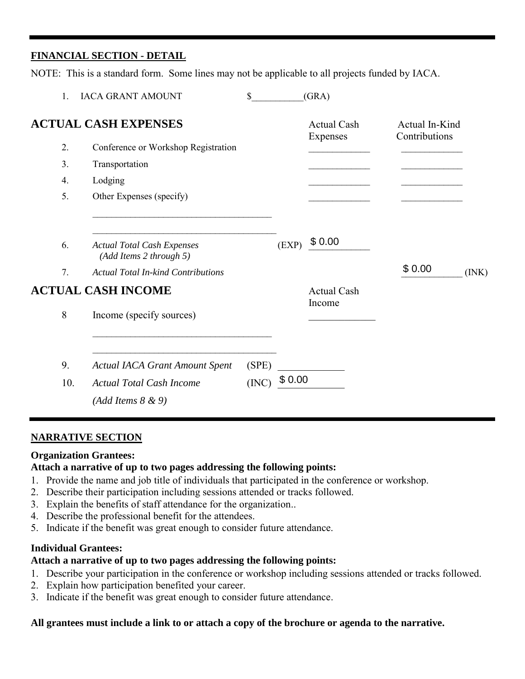# **FINANCIAL SECTION - DETAIL**

NOTE: This is a standard form. Some lines may not be applicable to all projects funded by IACA.

| 1.               | <b>IACA GRANT AMOUNT</b>                                     | \$    |        | (GRA)                          |                                 |       |
|------------------|--------------------------------------------------------------|-------|--------|--------------------------------|---------------------------------|-------|
|                  | <b>ACTUAL CASH EXPENSES</b>                                  |       |        | <b>Actual Cash</b><br>Expenses | Actual In-Kind<br>Contributions |       |
| 2.               | Conference or Workshop Registration                          |       |        |                                |                                 |       |
| 3.               | Transportation                                               |       |        |                                |                                 |       |
| $\overline{4}$ . | Lodging                                                      |       |        |                                |                                 |       |
| 5.               | Other Expenses (specify)                                     |       |        |                                |                                 |       |
| 6.               | <b>Actual Total Cash Expenses</b><br>(Add Items 2 through 5) |       | (EXP)  | \$0.00                         |                                 |       |
| 7.               | <b>Actual Total In-kind Contributions</b>                    |       |        |                                | \$0.00                          | (INK) |
|                  | <b>ACTUAL CASH INCOME</b>                                    |       |        | <b>Actual Cash</b>             |                                 |       |
| 8                | Income (specify sources)                                     |       |        | Income                         |                                 |       |
| 9.               | <b>Actual IACA Grant Amount Spent</b>                        | (SPE) |        |                                |                                 |       |
| 10.              | <b>Actual Total Cash Income</b>                              | (INC) | \$0.00 |                                |                                 |       |
|                  | $(Add \, I$ tems $8 \& 9)$                                   |       |        |                                |                                 |       |

## **NARRATIVE SECTION**

## **Organization Grantees:**

#### **Attach a narrative of up to two pages addressing the following points:**

- 1. Provide the name and job title of individuals that participated in the conference or workshop.
- 2. Describe their participation including sessions attended or tracks followed.
- 3. Explain the benefits of staff attendance for the organization..
- 4. Describe the professional benefit for the attendees.
- 5. Indicate if the benefit was great enough to consider future attendance.

#### **Individual Grantees:**

#### **Attach a narrative of up to two pages addressing the following points:**

- 1. Describe your participation in the conference or workshop including sessions attended or tracks followed.
- 2. Explain how participation benefited your career.
- 3. Indicate if the benefit was great enough to consider future attendance.

#### **All grantees must include a link to or attach a copy of the brochure or agenda to the narrative.**